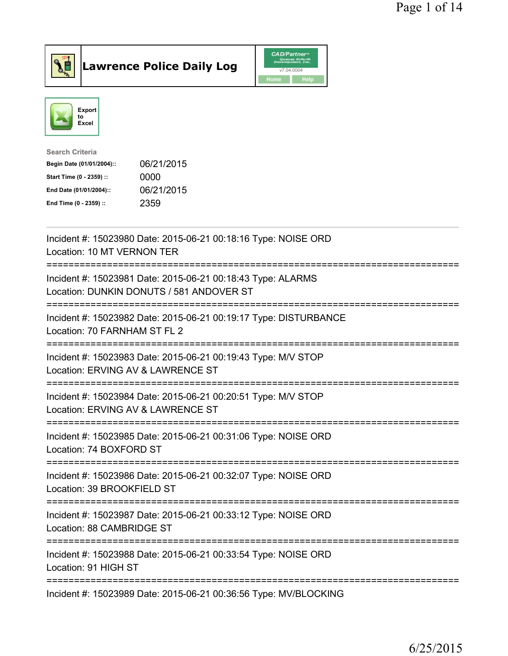



| 06/21/2015 |
|------------|
| 0000       |
| 06/21/2015 |
| 2359       |
|            |

| Incident #: 15023980 Date: 2015-06-21 00:18:16 Type: NOISE ORD<br>Location: 10 MT VERNON TER                                    |
|---------------------------------------------------------------------------------------------------------------------------------|
| Incident #: 15023981 Date: 2015-06-21 00:18:43 Type: ALARMS<br>Location: DUNKIN DONUTS / 581 ANDOVER ST<br>==================== |
| Incident #: 15023982 Date: 2015-06-21 00:19:17 Type: DISTURBANCE<br>Location: 70 FARNHAM ST FL 2                                |
| Incident #: 15023983 Date: 2015-06-21 00:19:43 Type: M/V STOP<br>Location: ERVING AV & LAWRENCE ST<br>======================    |
| Incident #: 15023984 Date: 2015-06-21 00:20:51 Type: M/V STOP<br>Location: ERVING AV & LAWRENCE ST                              |
| Incident #: 15023985 Date: 2015-06-21 00:31:06 Type: NOISE ORD<br>Location: 74 BOXFORD ST                                       |
| Incident #: 15023986 Date: 2015-06-21 00:32:07 Type: NOISE ORD<br>Location: 39 BROOKFIELD ST                                    |
| Incident #: 15023987 Date: 2015-06-21 00:33:12 Type: NOISE ORD<br>Location: 88 CAMBRIDGE ST                                     |
| Incident #: 15023988 Date: 2015-06-21 00:33:54 Type: NOISE ORD<br>Location: 91 HIGH ST                                          |
| Incident #: 15023989 Date: 2015-06-21 00:36:56 Type: MV/BLOCKING                                                                |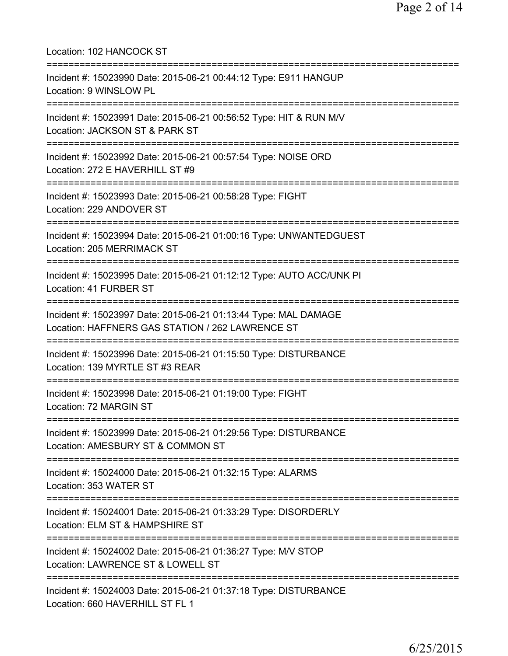| Location: 102 HANCOCK ST                                                                                                                   |
|--------------------------------------------------------------------------------------------------------------------------------------------|
| Incident #: 15023990 Date: 2015-06-21 00:44:12 Type: E911 HANGUP<br>Location: 9 WINSLOW PL                                                 |
| Incident #: 15023991 Date: 2015-06-21 00:56:52 Type: HIT & RUN M/V<br>Location: JACKSON ST & PARK ST                                       |
| Incident #: 15023992 Date: 2015-06-21 00:57:54 Type: NOISE ORD<br>Location: 272 E HAVERHILL ST #9                                          |
| Incident #: 15023993 Date: 2015-06-21 00:58:28 Type: FIGHT<br>Location: 229 ANDOVER ST                                                     |
| Incident #: 15023994 Date: 2015-06-21 01:00:16 Type: UNWANTEDGUEST<br>Location: 205 MERRIMACK ST                                           |
| Incident #: 15023995 Date: 2015-06-21 01:12:12 Type: AUTO ACC/UNK PI<br>Location: 41 FURBER ST                                             |
| Incident #: 15023997 Date: 2015-06-21 01:13:44 Type: MAL DAMAGE<br>Location: HAFFNERS GAS STATION / 262 LAWRENCE ST                        |
| Incident #: 15023996 Date: 2015-06-21 01:15:50 Type: DISTURBANCE<br>Location: 139 MYRTLE ST #3 REAR<br>========================            |
| Incident #: 15023998 Date: 2015-06-21 01:19:00 Type: FIGHT<br>Location: 72 MARGIN ST                                                       |
| Incident #: 15023999 Date: 2015-06-21 01:29:56 Type: DISTURBANCE<br>Location: AMESBURY ST & COMMON ST                                      |
| Incident #: 15024000 Date: 2015-06-21 01:32:15 Type: ALARMS<br>Location: 353 WATER ST                                                      |
| ====================================<br>Incident #: 15024001 Date: 2015-06-21 01:33:29 Type: DISORDERLY<br>Location: ELM ST & HAMPSHIRE ST |
| Incident #: 15024002 Date: 2015-06-21 01:36:27 Type: M/V STOP<br>Location: LAWRENCE ST & LOWELL ST                                         |
| Incident #: 15024003 Date: 2015-06-21 01:37:18 Type: DISTURBANCE<br>Location: 660 HAVERHILL ST FL 1                                        |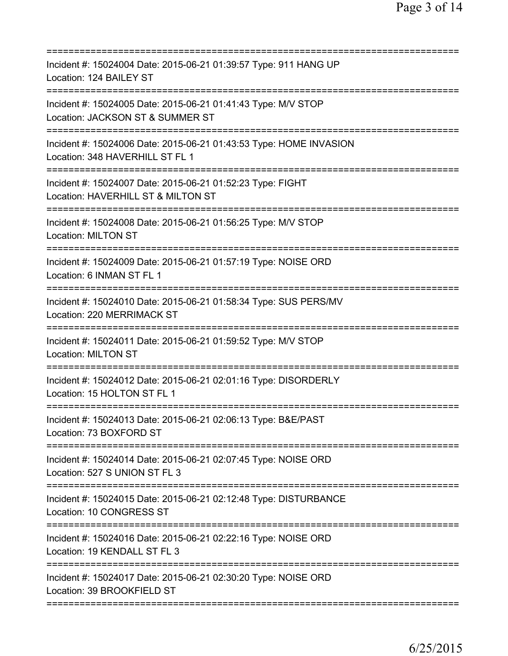| Incident #: 15024004 Date: 2015-06-21 01:39:57 Type: 911 HANG UP<br>Location: 124 BAILEY ST           |
|-------------------------------------------------------------------------------------------------------|
| Incident #: 15024005 Date: 2015-06-21 01:41:43 Type: M/V STOP<br>Location: JACKSON ST & SUMMER ST     |
| Incident #: 15024006 Date: 2015-06-21 01:43:53 Type: HOME INVASION<br>Location: 348 HAVERHILL ST FL 1 |
| Incident #: 15024007 Date: 2015-06-21 01:52:23 Type: FIGHT<br>Location: HAVERHILL ST & MILTON ST      |
| Incident #: 15024008 Date: 2015-06-21 01:56:25 Type: M/V STOP<br><b>Location: MILTON ST</b>           |
| Incident #: 15024009 Date: 2015-06-21 01:57:19 Type: NOISE ORD<br>Location: 6 INMAN ST FL 1           |
| Incident #: 15024010 Date: 2015-06-21 01:58:34 Type: SUS PERS/MV<br>Location: 220 MERRIMACK ST        |
| Incident #: 15024011 Date: 2015-06-21 01:59:52 Type: M/V STOP<br><b>Location: MILTON ST</b>           |
| Incident #: 15024012 Date: 2015-06-21 02:01:16 Type: DISORDERLY<br>Location: 15 HOLTON ST FL 1        |
| Incident #: 15024013 Date: 2015-06-21 02:06:13 Type: B&E/PAST<br>Location: 73 BOXFORD ST              |
| Incident #: 15024014 Date: 2015-06-21 02:07:45 Type: NOISE ORD<br>Location: 527 S UNION ST FL 3       |
| Incident #: 15024015 Date: 2015-06-21 02:12:48 Type: DISTURBANCE<br>Location: 10 CONGRESS ST          |
| Incident #: 15024016 Date: 2015-06-21 02:22:16 Type: NOISE ORD<br>Location: 19 KENDALL ST FL 3        |
| Incident #: 15024017 Date: 2015-06-21 02:30:20 Type: NOISE ORD<br>Location: 39 BROOKFIELD ST          |
|                                                                                                       |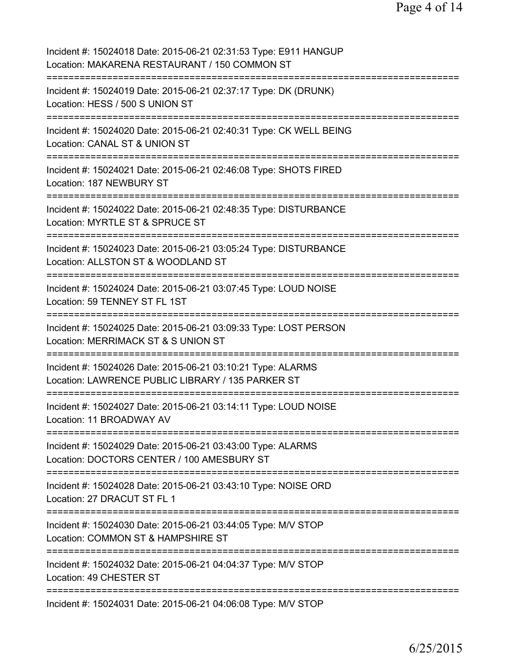| Incident #: 15024018 Date: 2015-06-21 02:31:53 Type: E911 HANGUP<br>Location: MAKARENA RESTAURANT / 150 COMMON ST<br>====================                     |
|---------------------------------------------------------------------------------------------------------------------------------------------------------------|
| Incident #: 15024019 Date: 2015-06-21 02:37:17 Type: DK (DRUNK)<br>Location: HESS / 500 S UNION ST                                                            |
| Incident #: 15024020 Date: 2015-06-21 02:40:31 Type: CK WELL BEING<br>Location: CANAL ST & UNION ST                                                           |
| Incident #: 15024021 Date: 2015-06-21 02:46:08 Type: SHOTS FIRED<br>Location: 187 NEWBURY ST                                                                  |
| Incident #: 15024022 Date: 2015-06-21 02:48:35 Type: DISTURBANCE<br>Location: MYRTLE ST & SPRUCE ST                                                           |
| Incident #: 15024023 Date: 2015-06-21 03:05:24 Type: DISTURBANCE<br>Location: ALLSTON ST & WOODLAND ST                                                        |
| Incident #: 15024024 Date: 2015-06-21 03:07:45 Type: LOUD NOISE<br>Location: 59 TENNEY ST FL 1ST<br>:========                                                 |
| Incident #: 15024025 Date: 2015-06-21 03:09:33 Type: LOST PERSON<br>Location: MERRIMACK ST & S UNION ST                                                       |
| Incident #: 15024026 Date: 2015-06-21 03:10:21 Type: ALARMS<br>Location: LAWRENCE PUBLIC LIBRARY / 135 PARKER ST                                              |
| =====================================<br>Incident #: 15024027 Date: 2015-06-21 03:14:11 Type: LOUD NOISE<br>Location: 11 BROADWAY AV                          |
| Incident #: 15024029 Date: 2015-06-21 03:43:00 Type: ALARMS<br>Location: DOCTORS CENTER / 100 AMESBURY ST                                                     |
| =============================<br>===========================<br>Incident #: 15024028 Date: 2015-06-21 03:43:10 Type: NOISE ORD<br>Location: 27 DRACUT ST FL 1 |
| Incident #: 15024030 Date: 2015-06-21 03:44:05 Type: M/V STOP<br>Location: COMMON ST & HAMPSHIRE ST                                                           |
| Incident #: 15024032 Date: 2015-06-21 04:04:37 Type: M/V STOP<br>Location: 49 CHESTER ST                                                                      |
| Incident #: 15024031 Date: 2015-06-21 04:06:08 Type: M/V STOP                                                                                                 |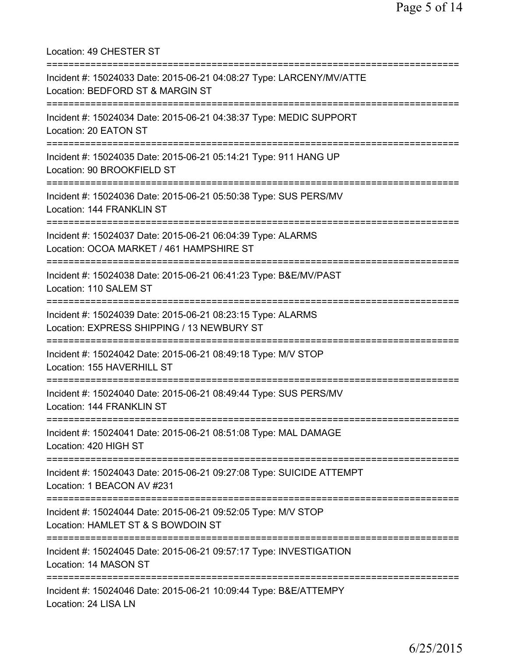Location: 49 CHESTER ST =========================================================================== Incident #: 15024033 Date: 2015-06-21 04:08:27 Type: LARCENY/MV/ATTE Location: BEDFORD ST & MARGIN ST =========================================================================== Incident #: 15024034 Date: 2015-06-21 04:38:37 Type: MEDIC SUPPORT Location: 20 EATON ST =========================================================================== Incident #: 15024035 Date: 2015-06-21 05:14:21 Type: 911 HANG UP Location: 90 BROOKFIELD ST =========================================================================== Incident #: 15024036 Date: 2015-06-21 05:50:38 Type: SUS PERS/MV Location: 144 FRANKLIN ST =========================================================================== Incident #: 15024037 Date: 2015-06-21 06:04:39 Type: ALARMS Location: OCOA MARKET / 461 HAMPSHIRE ST =========================================================================== Incident #: 15024038 Date: 2015-06-21 06:41:23 Type: B&E/MV/PAST Location: 110 SALEM ST =========================================================================== Incident #: 15024039 Date: 2015-06-21 08:23:15 Type: ALARMS Location: EXPRESS SHIPPING / 13 NEWBURY ST =========================================================================== Incident #: 15024042 Date: 2015-06-21 08:49:18 Type: M/V STOP Location: 155 HAVERHILL ST =========================================================================== Incident #: 15024040 Date: 2015-06-21 08:49:44 Type: SUS PERS/MV Location: 144 FRANKLIN ST =========================================================================== Incident #: 15024041 Date: 2015-06-21 08:51:08 Type: MAL DAMAGE Location: 420 HIGH ST =========================================================================== Incident #: 15024043 Date: 2015-06-21 09:27:08 Type: SUICIDE ATTEMPT Location: 1 BEACON AV #231 =========================================================================== Incident #: 15024044 Date: 2015-06-21 09:52:05 Type: M/V STOP Location: HAMLET ST & S BOWDOIN ST =========================================================================== Incident #: 15024045 Date: 2015-06-21 09:57:17 Type: INVESTIGATION Location: 14 MASON ST =========================================================================== Incident #: 15024046 Date: 2015-06-21 10:09:44 Type: B&E/ATTEMPY Location: 24 LISA LN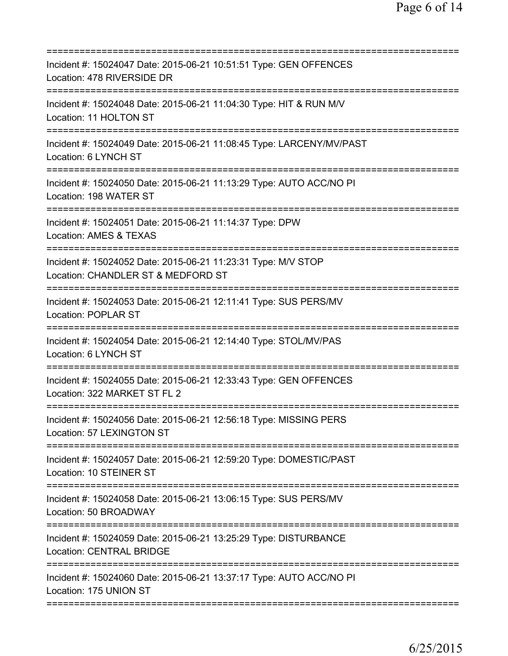| Incident #: 15024047 Date: 2015-06-21 10:51:51 Type: GEN OFFENCES<br>Location: 478 RIVERSIDE DR                          |
|--------------------------------------------------------------------------------------------------------------------------|
| Incident #: 15024048 Date: 2015-06-21 11:04:30 Type: HIT & RUN M/V<br>Location: 11 HOLTON ST                             |
| Incident #: 15024049 Date: 2015-06-21 11:08:45 Type: LARCENY/MV/PAST<br>Location: 6 LYNCH ST                             |
| Incident #: 15024050 Date: 2015-06-21 11:13:29 Type: AUTO ACC/NO PI<br>Location: 198 WATER ST                            |
| Incident #: 15024051 Date: 2015-06-21 11:14:37 Type: DPW<br>Location: AMES & TEXAS                                       |
| -----------------<br>Incident #: 15024052 Date: 2015-06-21 11:23:31 Type: M/V STOP<br>Location: CHANDLER ST & MEDFORD ST |
| Incident #: 15024053 Date: 2015-06-21 12:11:41 Type: SUS PERS/MV<br><b>Location: POPLAR ST</b>                           |
| Incident #: 15024054 Date: 2015-06-21 12:14:40 Type: STOL/MV/PAS<br>Location: 6 LYNCH ST                                 |
| Incident #: 15024055 Date: 2015-06-21 12:33:43 Type: GEN OFFENCES<br>Location: 322 MARKET ST FL 2                        |
| Incident #: 15024056 Date: 2015-06-21 12:56:18 Type: MISSING PERS<br>Location: 57 LEXINGTON ST                           |
| Incident #: 15024057 Date: 2015-06-21 12:59:20 Type: DOMESTIC/PAST<br>Location: 10 STEINER ST                            |
| Incident #: 15024058 Date: 2015-06-21 13:06:15 Type: SUS PERS/MV<br>Location: 50 BROADWAY                                |
| Incident #: 15024059 Date: 2015-06-21 13:25:29 Type: DISTURBANCE<br><b>Location: CENTRAL BRIDGE</b>                      |
| Incident #: 15024060 Date: 2015-06-21 13:37:17 Type: AUTO ACC/NO PI<br>Location: 175 UNION ST                            |
|                                                                                                                          |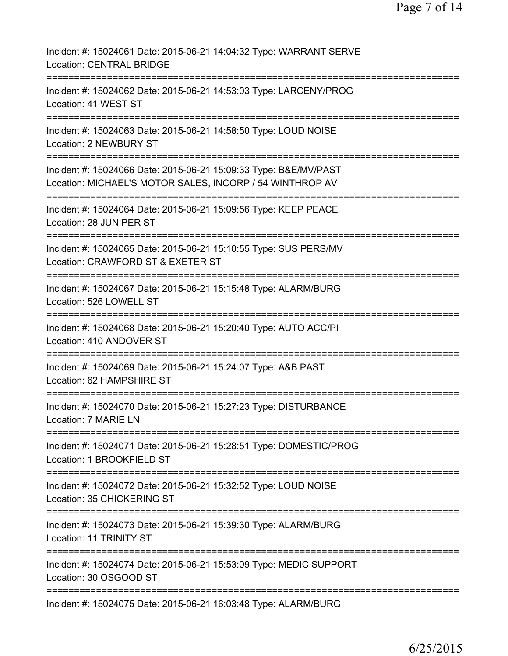| Incident #: 15024061 Date: 2015-06-21 14:04:32 Type: WARRANT SERVE<br><b>Location: CENTRAL BRIDGE</b>                        |
|------------------------------------------------------------------------------------------------------------------------------|
| Incident #: 15024062 Date: 2015-06-21 14:53:03 Type: LARCENY/PROG<br>Location: 41 WEST ST                                    |
| Incident #: 15024063 Date: 2015-06-21 14:58:50 Type: LOUD NOISE<br>Location: 2 NEWBURY ST                                    |
| Incident #: 15024066 Date: 2015-06-21 15:09:33 Type: B&E/MV/PAST<br>Location: MICHAEL'S MOTOR SALES, INCORP / 54 WINTHROP AV |
| Incident #: 15024064 Date: 2015-06-21 15:09:56 Type: KEEP PEACE<br>Location: 28 JUNIPER ST                                   |
| Incident #: 15024065 Date: 2015-06-21 15:10:55 Type: SUS PERS/MV<br>Location: CRAWFORD ST & EXETER ST                        |
| Incident #: 15024067 Date: 2015-06-21 15:15:48 Type: ALARM/BURG<br>Location: 526 LOWELL ST                                   |
| Incident #: 15024068 Date: 2015-06-21 15:20:40 Type: AUTO ACC/PI<br>Location: 410 ANDOVER ST                                 |
| Incident #: 15024069 Date: 2015-06-21 15:24:07 Type: A&B PAST<br>Location: 62 HAMPSHIRE ST                                   |
| ===========<br>Incident #: 15024070 Date: 2015-06-21 15:27:23 Type: DISTURBANCE<br>Location: 7 MARIE LN                      |
| Incident #: 15024071 Date: 2015-06-21 15:28:51 Type: DOMESTIC/PROG<br>Location: 1 BROOKFIELD ST                              |
| Incident #: 15024072 Date: 2015-06-21 15:32:52 Type: LOUD NOISE<br>Location: 35 CHICKERING ST                                |
| Incident #: 15024073 Date: 2015-06-21 15:39:30 Type: ALARM/BURG<br>Location: 11 TRINITY ST                                   |
| Incident #: 15024074 Date: 2015-06-21 15:53:09 Type: MEDIC SUPPORT<br>Location: 30 OSGOOD ST                                 |
| Incident #: 15024075 Date: 2015-06-21 16:03:48 Type: ALARM/BURG                                                              |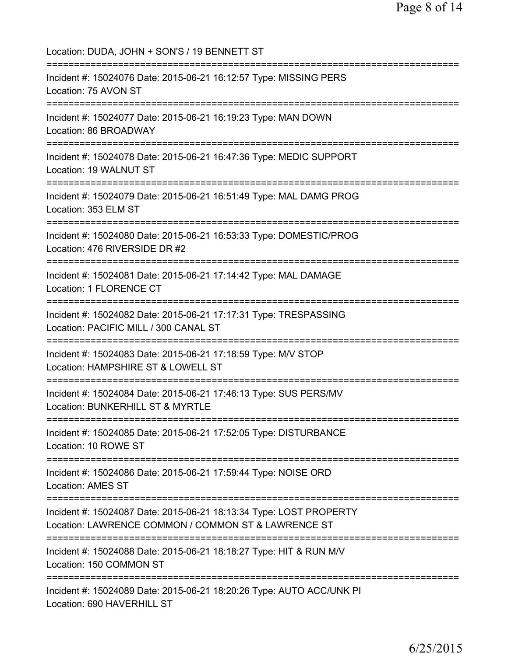Location: DUDA, JOHN + SON'S / 19 BENNETT ST =========================================================================== Incident #: 15024076 Date: 2015-06-21 16:12:57 Type: MISSING PERS Location: 75 AVON ST =========================================================================== Incident #: 15024077 Date: 2015-06-21 16:19:23 Type: MAN DOWN Location: 86 BROADWAY =========================================================================== Incident #: 15024078 Date: 2015-06-21 16:47:36 Type: MEDIC SUPPORT Location: 19 WALNUT ST =========================================================================== Incident #: 15024079 Date: 2015-06-21 16:51:49 Type: MAL DAMG PROG Location: 353 ELM ST =========================================================================== Incident #: 15024080 Date: 2015-06-21 16:53:33 Type: DOMESTIC/PROG Location: 476 RIVERSIDE DR #2 =========================================================================== Incident #: 15024081 Date: 2015-06-21 17:14:42 Type: MAL DAMAGE Location: 1 FLORENCE CT =========================================================================== Incident #: 15024082 Date: 2015-06-21 17:17:31 Type: TRESPASSING Location: PACIFIC MILL / 300 CANAL ST =========================================================================== Incident #: 15024083 Date: 2015-06-21 17:18:59 Type: M/V STOP Location: HAMPSHIRE ST & LOWELL ST =========================================================================== Incident #: 15024084 Date: 2015-06-21 17:46:13 Type: SUS PERS/MV Location: BUNKERHILL ST & MYRTLE =========================================================================== Incident #: 15024085 Date: 2015-06-21 17:52:05 Type: DISTURBANCE Location: 10 ROWE ST =========================================================================== Incident #: 15024086 Date: 2015-06-21 17:59:44 Type: NOISE ORD Location: AMES ST =========================================================================== Incident #: 15024087 Date: 2015-06-21 18:13:34 Type: LOST PROPERTY Location: LAWRENCE COMMON / COMMON ST & LAWRENCE ST =========================================================================== Incident #: 15024088 Date: 2015-06-21 18:18:27 Type: HIT & RUN M/V Location: 150 COMMON ST =========================================================================== Incident #: 15024089 Date: 2015-06-21 18:20:26 Type: AUTO ACC/UNK PI Location: 690 HAVERHILL ST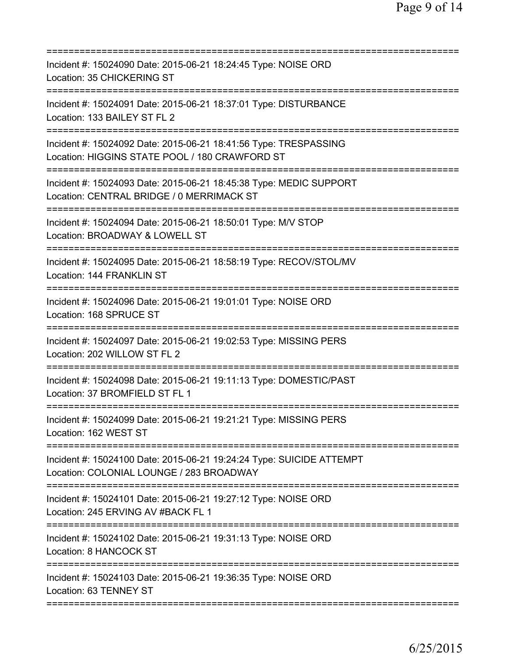| Incident #: 15024090 Date: 2015-06-21 18:24:45 Type: NOISE ORD<br>Location: 35 CHICKERING ST                       |
|--------------------------------------------------------------------------------------------------------------------|
| Incident #: 15024091 Date: 2015-06-21 18:37:01 Type: DISTURBANCE<br>Location: 133 BAILEY ST FL 2                   |
| Incident #: 15024092 Date: 2015-06-21 18:41:56 Type: TRESPASSING<br>Location: HIGGINS STATE POOL / 180 CRAWFORD ST |
| Incident #: 15024093 Date: 2015-06-21 18:45:38 Type: MEDIC SUPPORT<br>Location: CENTRAL BRIDGE / 0 MERRIMACK ST    |
| Incident #: 15024094 Date: 2015-06-21 18:50:01 Type: M/V STOP<br>Location: BROADWAY & LOWELL ST                    |
| Incident #: 15024095 Date: 2015-06-21 18:58:19 Type: RECOV/STOL/MV<br>Location: 144 FRANKLIN ST                    |
| Incident #: 15024096 Date: 2015-06-21 19:01:01 Type: NOISE ORD<br>Location: 168 SPRUCE ST<br>==========            |
| Incident #: 15024097 Date: 2015-06-21 19:02:53 Type: MISSING PERS<br>Location: 202 WILLOW ST FL 2                  |
| Incident #: 15024098 Date: 2015-06-21 19:11:13 Type: DOMESTIC/PAST<br>Location: 37 BROMFIELD ST FL 1               |
| Incident #: 15024099 Date: 2015-06-21 19:21:21 Type: MISSING PERS<br>Location: 162 WEST ST                         |
| Incident #: 15024100 Date: 2015-06-21 19:24:24 Type: SUICIDE ATTEMPT<br>Location: COLONIAL LOUNGE / 283 BROADWAY   |
| Incident #: 15024101 Date: 2015-06-21 19:27:12 Type: NOISE ORD<br>Location: 245 ERVING AV #BACK FL 1               |
| Incident #: 15024102 Date: 2015-06-21 19:31:13 Type: NOISE ORD<br>Location: 8 HANCOCK ST                           |
| Incident #: 15024103 Date: 2015-06-21 19:36:35 Type: NOISE ORD<br>Location: 63 TENNEY ST                           |
|                                                                                                                    |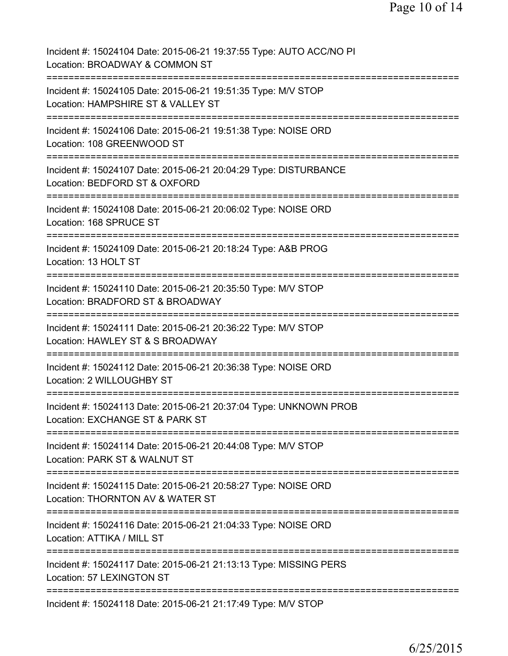| Incident #: 15024104 Date: 2015-06-21 19:37:55 Type: AUTO ACC/NO PI<br>Location: BROADWAY & COMMON ST                            |
|----------------------------------------------------------------------------------------------------------------------------------|
| Incident #: 15024105 Date: 2015-06-21 19:51:35 Type: M/V STOP<br>Location: HAMPSHIRE ST & VALLEY ST                              |
| Incident #: 15024106 Date: 2015-06-21 19:51:38 Type: NOISE ORD<br>Location: 108 GREENWOOD ST                                     |
| Incident #: 15024107 Date: 2015-06-21 20:04:29 Type: DISTURBANCE<br>Location: BEDFORD ST & OXFORD                                |
| Incident #: 15024108 Date: 2015-06-21 20:06:02 Type: NOISE ORD<br>Location: 168 SPRUCE ST                                        |
| Incident #: 15024109 Date: 2015-06-21 20:18:24 Type: A&B PROG<br>Location: 13 HOLT ST                                            |
| Incident #: 15024110 Date: 2015-06-21 20:35:50 Type: M/V STOP<br>Location: BRADFORD ST & BROADWAY                                |
| Incident #: 15024111 Date: 2015-06-21 20:36:22 Type: M/V STOP<br>Location: HAWLEY ST & S BROADWAY                                |
| Incident #: 15024112 Date: 2015-06-21 20:36:38 Type: NOISE ORD<br>Location: 2 WILLOUGHBY ST                                      |
| Incident #: 15024113 Date: 2015-06-21 20:37:04 Type: UNKNOWN PROB<br>Location: EXCHANGE ST & PARK ST                             |
| Incident #: 15024114 Date: 2015-06-21 20:44:08 Type: M/V STOP<br>Location: PARK ST & WALNUT ST                                   |
| Incident #: 15024115 Date: 2015-06-21 20:58:27 Type: NOISE ORD<br>Location: THORNTON AV & WATER ST<br>========================== |
| ===========================<br>Incident #: 15024116 Date: 2015-06-21 21:04:33 Type: NOISE ORD<br>Location: ATTIKA / MILL ST      |
| Incident #: 15024117 Date: 2015-06-21 21:13:13 Type: MISSING PERS<br>Location: 57 LEXINGTON ST                                   |
| Incident #: 15024118 Date: 2015-06-21 21:17:49 Type: M/V STOP                                                                    |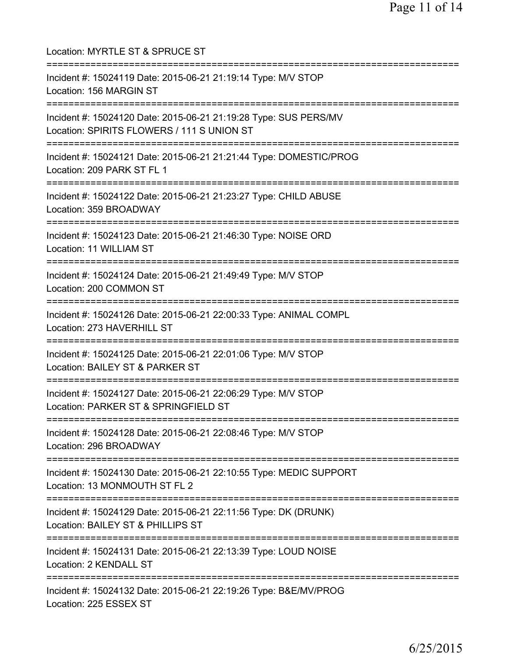| Location: MYRTLE ST & SPRUCE ST                                                                                                                          |
|----------------------------------------------------------------------------------------------------------------------------------------------------------|
| Incident #: 15024119 Date: 2015-06-21 21:19:14 Type: M/V STOP<br>Location: 156 MARGIN ST<br>=================================                            |
| Incident #: 15024120 Date: 2015-06-21 21:19:28 Type: SUS PERS/MV<br>Location: SPIRITS FLOWERS / 111 S UNION ST<br>====================================== |
| Incident #: 15024121 Date: 2015-06-21 21:21:44 Type: DOMESTIC/PROG<br>Location: 209 PARK ST FL 1<br>:===========================                         |
| Incident #: 15024122 Date: 2015-06-21 21:23:27 Type: CHILD ABUSE<br>Location: 359 BROADWAY                                                               |
| Incident #: 15024123 Date: 2015-06-21 21:46:30 Type: NOISE ORD<br>Location: 11 WILLIAM ST                                                                |
| Incident #: 15024124 Date: 2015-06-21 21:49:49 Type: M/V STOP<br>Location: 200 COMMON ST<br>-------------------------                                    |
| Incident #: 15024126 Date: 2015-06-21 22:00:33 Type: ANIMAL COMPL<br>Location: 273 HAVERHILL ST<br>:===============================                      |
| Incident #: 15024125 Date: 2015-06-21 22:01:06 Type: M/V STOP<br>Location: BAILEY ST & PARKER ST                                                         |
| :=====================<br>Incident #: 15024127 Date: 2015-06-21 22:06:29 Type: M/V STOP<br>Location: PARKER ST & SPRINGFIELD ST                          |
| Incident #: 15024128 Date: 2015-06-21 22:08:46 Type: M/V STOP<br>Location: 296 BROADWAY                                                                  |
| Incident #: 15024130 Date: 2015-06-21 22:10:55 Type: MEDIC SUPPORT<br>Location: 13 MONMOUTH ST FL 2                                                      |
| Incident #: 15024129 Date: 2015-06-21 22:11:56 Type: DK (DRUNK)<br>Location: BAILEY ST & PHILLIPS ST                                                     |
| Incident #: 15024131 Date: 2015-06-21 22:13:39 Type: LOUD NOISE<br>Location: 2 KENDALL ST                                                                |
| Incident #: 15024132 Date: 2015-06-21 22:19:26 Type: B&E/MV/PROG<br>Location: 225 ESSEX ST                                                               |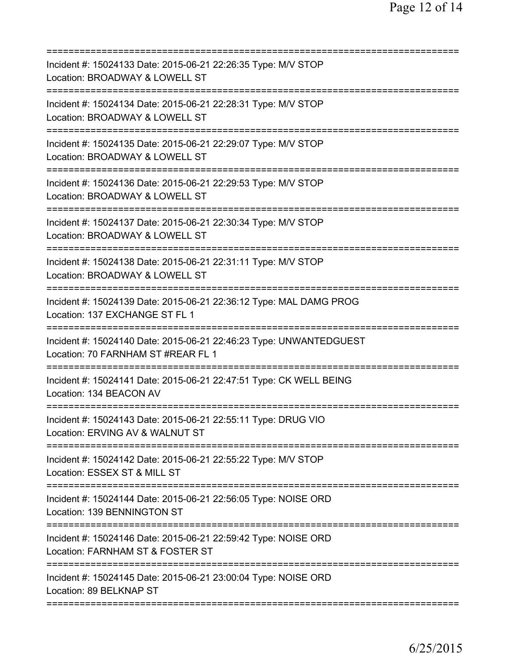| Incident #: 15024133 Date: 2015-06-21 22:26:35 Type: M/V STOP<br>Location: BROADWAY & LOWELL ST                              |
|------------------------------------------------------------------------------------------------------------------------------|
| Incident #: 15024134 Date: 2015-06-21 22:28:31 Type: M/V STOP<br>Location: BROADWAY & LOWELL ST                              |
| Incident #: 15024135 Date: 2015-06-21 22:29:07 Type: M/V STOP<br>Location: BROADWAY & LOWELL ST                              |
| Incident #: 15024136 Date: 2015-06-21 22:29:53 Type: M/V STOP<br>Location: BROADWAY & LOWELL ST                              |
| =========================<br>Incident #: 15024137 Date: 2015-06-21 22:30:34 Type: M/V STOP<br>Location: BROADWAY & LOWELL ST |
| =========================<br>Incident #: 15024138 Date: 2015-06-21 22:31:11 Type: M/V STOP<br>Location: BROADWAY & LOWELL ST |
| Incident #: 15024139 Date: 2015-06-21 22:36:12 Type: MAL DAMG PROG<br>Location: 137 EXCHANGE ST FL 1                         |
| Incident #: 15024140 Date: 2015-06-21 22:46:23 Type: UNWANTEDGUEST<br>Location: 70 FARNHAM ST #REAR FL 1                     |
| Incident #: 15024141 Date: 2015-06-21 22:47:51 Type: CK WELL BEING<br>Location: 134 BEACON AV                                |
| Incident #: 15024143 Date: 2015-06-21 22:55:11 Type: DRUG VIO<br>Location: ERVING AV & WALNUT ST                             |
| Incident #: 15024142 Date: 2015-06-21 22:55:22 Type: M/V STOP<br>Location: ESSEX ST & MILL ST                                |
| Incident #: 15024144 Date: 2015-06-21 22:56:05 Type: NOISE ORD<br>Location: 139 BENNINGTON ST                                |
| Incident #: 15024146 Date: 2015-06-21 22:59:42 Type: NOISE ORD<br>Location: FARNHAM ST & FOSTER ST                           |
| Incident #: 15024145 Date: 2015-06-21 23:00:04 Type: NOISE ORD<br>Location: 89 BELKNAP ST                                    |
|                                                                                                                              |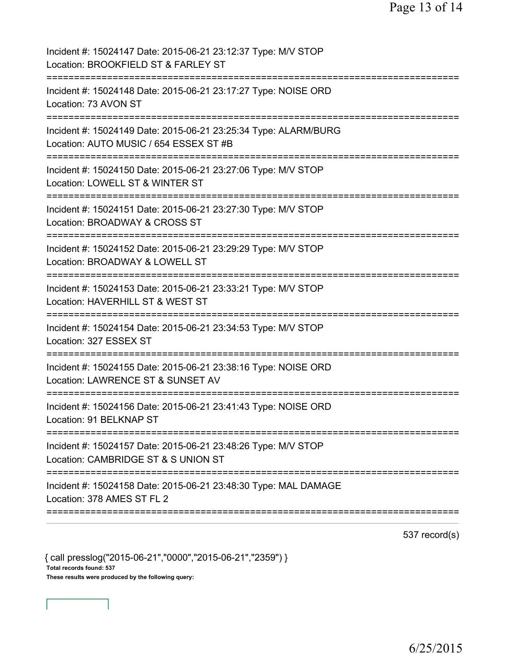| Incident #: 15024147 Date: 2015-06-21 23:12:37 Type: M/V STOP<br>Location: BROOKFIELD ST & FARLEY ST<br>======================= |
|---------------------------------------------------------------------------------------------------------------------------------|
| Incident #: 15024148 Date: 2015-06-21 23:17:27 Type: NOISE ORD<br>Location: 73 AVON ST                                          |
| Incident #: 15024149 Date: 2015-06-21 23:25:34 Type: ALARM/BURG<br>Location: AUTO MUSIC / 654 ESSEX ST #B                       |
| Incident #: 15024150 Date: 2015-06-21 23:27:06 Type: M/V STOP<br>Location: LOWELL ST & WINTER ST<br>=======================     |
| Incident #: 15024151 Date: 2015-06-21 23:27:30 Type: M/V STOP<br>Location: BROADWAY & CROSS ST<br>==========================    |
| Incident #: 15024152 Date: 2015-06-21 23:29:29 Type: M/V STOP<br>Location: BROADWAY & LOWELL ST<br>--------------------         |
| Incident #: 15024153 Date: 2015-06-21 23:33:21 Type: M/V STOP<br>Location: HAVERHILL ST & WEST ST                               |
| Incident #: 15024154 Date: 2015-06-21 23:34:53 Type: M/V STOP<br>Location: 327 ESSEX ST                                         |
| Incident #: 15024155 Date: 2015-06-21 23:38:16 Type: NOISE ORD<br>Location: LAWRENCE ST & SUNSET AV                             |
| Incident #: 15024156 Date: 2015-06-21 23:41:43 Type: NOISE ORD<br>Location: 91 BELKNAP ST                                       |
| Incident #: 15024157 Date: 2015-06-21 23:48:26 Type: M/V STOP<br>Location: CAMBRIDGE ST & S UNION ST                            |
| Incident #: 15024158 Date: 2015-06-21 23:48:30 Type: MAL DAMAGE<br>Location: 378 AMES ST FL 2                                   |
|                                                                                                                                 |

537 record(s)

{ call presslog("2015-06-21","0000","2015-06-21","2359") } Total records found: 537 These results were produced by the following query: